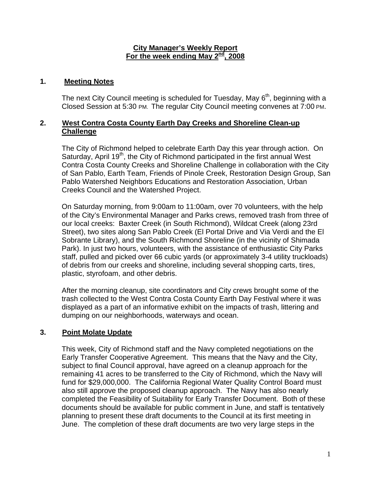#### **City Manager's Weekly Report For the week ending May 2nd, 2008**

## **1. Meeting Notes**

The next City Council meeting is scheduled for Tuesday, May  $6<sup>th</sup>$ , beginning with a Closed Session at 5:30 PM. The regular City Council meeting convenes at 7:00 PM.

## **2. West Contra Costa County Earth Day Creeks and Shoreline Clean-up Challenge**

The City of Richmond helped to celebrate Earth Day this year through action. On Saturday, April 19<sup>th</sup>, the City of Richmond participated in the first annual West Contra Costa County Creeks and Shoreline Challenge in collaboration with the City of San Pablo, Earth Team, Friends of Pinole Creek, Restoration Design Group, San Pablo Watershed Neighbors Educations and Restoration Association, Urban Creeks Council and the Watershed Project.

On Saturday morning, from 9:00am to 11:00am, over 70 volunteers, with the help of the City's Environmental Manager and Parks crews, removed trash from three of our local creeks: Baxter Creek (in South Richmond), Wildcat Creek (along 23rd Street), two sites along San Pablo Creek (El Portal Drive and Via Verdi and the El Sobrante Library), and the South Richmond Shoreline (in the vicinity of Shimada Park). In just two hours, volunteers, with the assistance of enthusiastic City Parks staff, pulled and picked over 66 cubic yards (or approximately 3-4 utility truckloads) of debris from our creeks and shoreline, including several shopping carts, tires, plastic, styrofoam, and other debris.

After the morning cleanup, site coordinators and City crews brought some of the trash collected to the West Contra Costa County Earth Day Festival where it was displayed as a part of an informative exhibit on the impacts of trash, littering and dumping on our neighborhoods, waterways and ocean.

## **3. Point Molate Update**

This week, City of Richmond staff and the Navy completed negotiations on the Early Transfer Cooperative Agreement. This means that the Navy and the City, subject to final Council approval, have agreed on a cleanup approach for the remaining 41 acres to be transferred to the City of Richmond, which the Navy will fund for \$29,000,000. The California Regional Water Quality Control Board must also still approve the proposed cleanup approach. The Navy has also nearly completed the Feasibility of Suitability for Early Transfer Document. Both of these documents should be available for public comment in June, and staff is tentatively planning to present these draft documents to the Council at its first meeting in June. The completion of these draft documents are two very large steps in the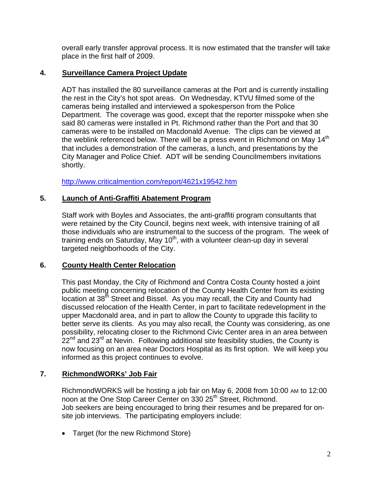overall early transfer approval process. It is now estimated that the transfer will take place in the first half of 2009.

## **4. Surveillance Camera Project Update**

ADT has installed the 80 surveillance cameras at the Port and is currently installing the rest in the City's hot spot areas. On Wednesday, KTVU filmed some of the cameras being installed and interviewed a spokesperson from the Police Department. The coverage was good, except that the reporter misspoke when she said 80 cameras were installed in Pt. Richmond rather than the Port and that 30 cameras were to be installed on Macdonald Avenue. The clips can be viewed at the weblink referenced below. There will be a press event in Richmond on May 14<sup>th</sup> that includes a demonstration of the cameras, a lunch, and presentations by the City Manager and Police Chief. ADT will be sending Councilmembers invitations shortly.

<http://www.criticalmention.com/report/4621x19542.htm>

## **5. Launch of Anti-Graffiti Abatement Program**

Staff work with Boyles and Associates, the anti-graffiti program consultants that were retained by the City Council, begins next week, with intensive training of all those individuals who are instrumental to the success of the program. The week of training ends on Saturday, May  $10<sup>th</sup>$ , with a volunteer clean-up day in several targeted neighborhoods of the City.

## **6. County Health Center Relocation**

This past Monday, the City of Richmond and Contra Costa County hosted a joint public meeting concerning relocation of the County Health Center from its existing  $\frac{1}{10}$  iocation at 38<sup>th</sup> Street and Bissel. As you may recall, the City and County had discussed relocation of the Health Center, in part to facilitate redevelopment in the upper Macdonald area, and in part to allow the County to upgrade this facility to better serve its clients. As you may also recall, the County was considering, as one possibility, relocating closer to the Richmond Civic Center area in an area between  $22<sup>nd</sup>$  and 23<sup>rd</sup> at Nevin. Following additional site feasibility studies, the County is now focusing on an area near Doctors Hospital as its first option. We will keep you informed as this project continues to evolve.

# **7. RichmondWORKs' Job Fair**

RichmondWORKS will be hosting a job fair on May 6, 2008 from 10:00 AM to 12:00 noon at the One Stop Career Center on 330 25<sup>th</sup> Street, Richmond. Job seekers are being encouraged to bring their resumes and be prepared for onsite job interviews. The participating employers include:

• Target (for the new Richmond Store)